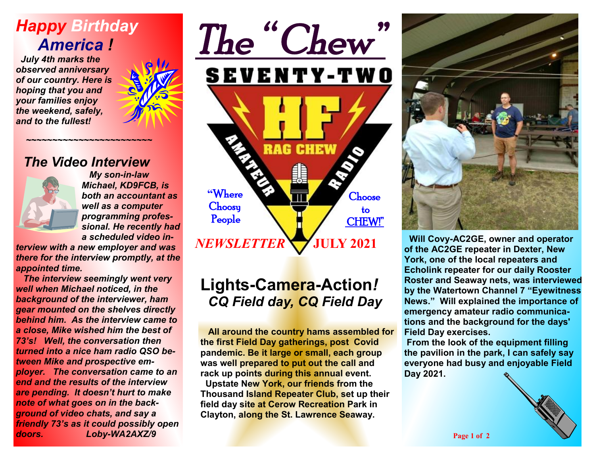# *Happy Birthday America !*

 *July 4th marks the observed anniversary of our country. Here is hoping that you and your families enjoy the weekend, safely, and to the fullest!* 



#### *The Video Interview*

 *~~~~~~~~~~~~~~~~~~~~~~~~* 



 *My son-in-law Michael, KD9FCB, is both an accountant as well as a computer programming professional. He recently had a scheduled video in-*

*terview with a new employer and was there for the interview promptly, at the appointed time.* 

 *The interview seemingly went very well when Michael noticed, in the background of the interviewer, ham gear mounted on the shelves directly behind him. As the interview came to a close, Mike wished him the best of 73's! Well, the conversation then turned into a nice ham radio QSO between Mike and prospective employer. The conversation came to an end and the results of the interview are pending. It doesn't hurt to make note of what goes on in the background of video chats, and say a friendly 73's as it could possibly open doors. Loby-WA2AXZ/9*



## **Lights-Camera-Action***! CQ Field day, CQ Field Day*

 **All around the country hams assembled for the first Field Day gatherings, post Covid pandemic. Be it large or small, each group was well prepared to put out the call and rack up points during this annual event. Upstate New York, our friends from the Thousand Island Repeater Club, set up their field day site at Cerow Recreation Park in Clayton, along the St. Lawrence Seaway.** 



 **Will Covy-AC2GE, owner and operator of the AC2GE repeater in Dexter, New York, one of the local repeaters and Echolink repeater for our daily Rooster Roster and Seaway nets, was interviewed by the Watertown Channel 7 "Eyewitness News." Will explained the importance of emergency amateur radio communications and the background for the days' Field Day exercises.** 

**From the look of the equipment filling the pavilion in the park, I can safely say everyone had busy and enjoyable Field Day 2021.**